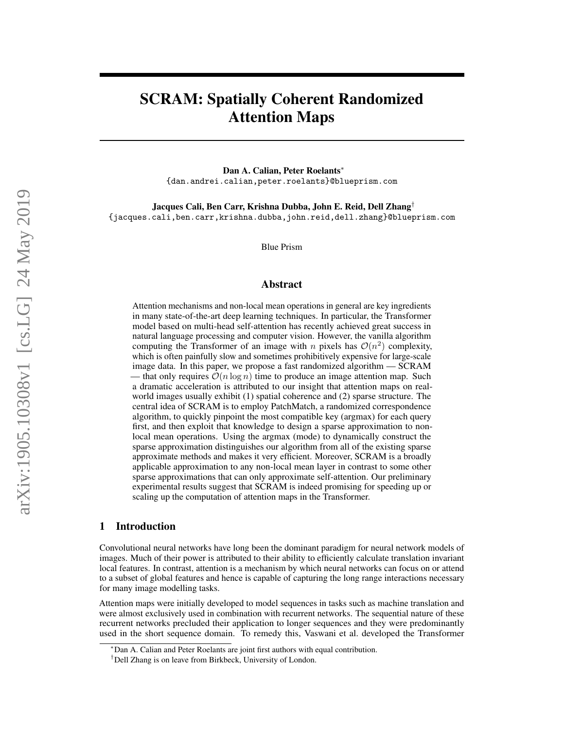# SCRAM: Spatially Coherent Randomized Attention Maps

Dan A. Calian, Peter Roelants<sup>∗</sup> {dan.andrei.calian,peter.roelants}@blueprism.com

Jacques Cali, Ben Carr, Krishna Dubba, John E. Reid, Dell Zhang† {jacques.cali,ben.carr,krishna.dubba,john.reid,dell.zhang}@blueprism.com

Blue Prism

## Abstract

Attention mechanisms and non-local mean operations in general are key ingredients in many state-of-the-art deep learning techniques. In particular, the Transformer model based on multi-head self-attention has recently achieved great success in natural language processing and computer vision. However, the vanilla algorithm computing the Transformer of an image with *n* pixels has  $\mathcal{O}(n^2)$  complexity, which is often painfully slow and sometimes prohibitively expensive for large-scale image data. In this paper, we propose a fast randomized algorithm — SCRAM — that only requires  $\mathcal{O}(n \log n)$  time to produce an image attention map. Such a dramatic acceleration is attributed to our insight that attention maps on realworld images usually exhibit (1) spatial coherence and (2) sparse structure. The central idea of SCRAM is to employ PatchMatch, a randomized correspondence algorithm, to quickly pinpoint the most compatible key (argmax) for each query first, and then exploit that knowledge to design a sparse approximation to nonlocal mean operations. Using the argmax (mode) to dynamically construct the sparse approximation distinguishes our algorithm from all of the existing sparse approximate methods and makes it very efficient. Moreover, SCRAM is a broadly applicable approximation to any non-local mean layer in contrast to some other sparse approximations that can only approximate self-attention. Our preliminary experimental results suggest that SCRAM is indeed promising for speeding up or scaling up the computation of attention maps in the Transformer.

## 1 Introduction

Convolutional neural networks have long been the dominant paradigm for neural network models of images. Much of their power is attributed to their ability to efficiently calculate translation invariant local features. In contrast, attention is a mechanism by which neural networks can focus on or attend to a subset of global features and hence is capable of capturing the long range interactions necessary for many image modelling tasks.

Attention maps were initially developed to model sequences in tasks such as machine translation and were almost exclusively used in combination with recurrent networks. The sequential nature of these recurrent networks precluded their application to longer sequences and they were predominantly used in the short sequence domain. To remedy this, Vaswani et al. developed the Transformer

<sup>∗</sup>Dan A. Calian and Peter Roelants are joint first authors with equal contribution.

<sup>†</sup>Dell Zhang is on leave from Birkbeck, University of London.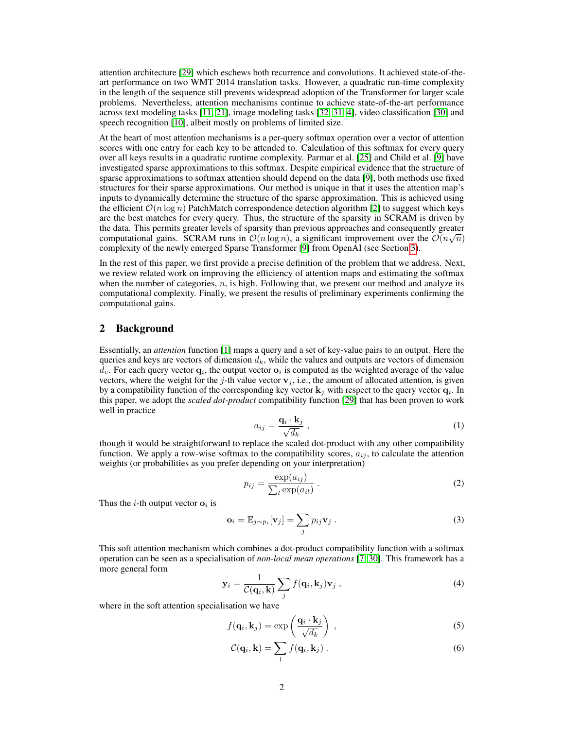attention architecture [\[29\]](#page-11-0) which eschews both recurrence and convolutions. It achieved state-of-theart performance on two WMT 2014 translation tasks. However, a quadratic run-time complexity in the length of the sequence still prevents widespread adoption of the Transformer for larger scale problems. Nevertheless, attention mechanisms continue to achieve state-of-the-art performance across text modeling tasks [\[11,](#page-10-0) [21\]](#page-11-1), image modeling tasks [\[32,](#page-11-2) [31,](#page-11-3) [4\]](#page-10-1), video classification [\[30\]](#page-11-4) and speech recognition [\[10\]](#page-10-2), albeit mostly on problems of limited size.

At the heart of most attention mechanisms is a per-query softmax operation over a vector of attention scores with one entry for each key to be attended to. Calculation of this softmax for every query over all keys results in a quadratic runtime complexity. Parmar et al. [\[25\]](#page-11-5) and Child et al. [\[9\]](#page-10-3) have investigated sparse approximations to this softmax. Despite empirical evidence that the structure of sparse approximations to softmax attention should depend on the data [\[9\]](#page-10-3), both methods use fixed structures for their sparse approximations. Our method is unique in that it uses the attention map's inputs to dynamically determine the structure of the sparse approximation. This is achieved using the efficient  $\mathcal{O}(n \log n)$  PatchMatch correspondence detection algorithm [\[2\]](#page-10-4) to suggest which keys are the best matches for every query. Thus, the structure of the sparsity in SCRAM is driven by the data. This permits greater levels of sparsity than previous approaches and consequently greater computational gains. SCRAM runs in  $\mathcal{O}(n \log n)$ , a significant improvement over the  $\mathcal{O}(n \sqrt{n})$ complexity of the newly emerged Sparse Transformer [\[9\]](#page-10-3) from OpenAI (see Section [3\)](#page-2-0).

In the rest of this paper, we first provide a precise definition of the problem that we address. Next, we review related work on improving the efficiency of attention maps and estimating the softmax when the number of categories,  $n$ , is high. Following that, we present our method and analyze its computational complexity. Finally, we present the results of preliminary experiments confirming the computational gains.

# 2 Background

Essentially, an *attention* function [\[1\]](#page-10-5) maps a query and a set of key-value pairs to an output. Here the queries and keys are vectors of dimension  $d_k$ , while the values and outputs are vectors of dimension  $d_v$ . For each query vector  $\mathbf{q}_i$ , the output vector  $\mathbf{o}_i$  is computed as the weighted average of the value vectors, where the weight for the j-th value vector  $v_i$ , i.e., the amount of allocated attention, is given by a compatibility function of the corresponding key vector  $\mathbf{k}_j$  with respect to the query vector  $\mathbf{q}_i$ . In this paper, we adopt the *scaled dot-product* compatibility function [\[29\]](#page-11-0) that has been proven to work well in practice

<span id="page-1-0"></span>
$$
a_{ij} = \frac{\mathbf{q}_i \cdot \mathbf{k}_j}{\sqrt{d_k}}\,,\tag{1}
$$

though it would be straightforward to replace the scaled dot-product with any other compatibility function. We apply a row-wise softmax to the compatibility scores,  $a_{ij}$ , to calculate the attention weights (or probabilities as you prefer depending on your interpretation)

$$
p_{ij} = \frac{\exp(a_{ij})}{\sum_l \exp(a_{il})} \,. \tag{2}
$$

Thus the *i*-th output vector  $o_i$  is

<span id="page-1-1"></span>
$$
\mathbf{o}_i = \mathbb{E}_{j \sim p_i}[\mathbf{v}_j] = \sum_j p_{ij} \mathbf{v}_j .
$$
 (3)

This soft attention mechanism which combines a dot-product compatibility function with a softmax operation can be seen as a specialisation of *non-local mean operations* [\[7,](#page-10-6) [30\]](#page-11-4). This framework has a more general form

<span id="page-1-2"></span>
$$
\mathbf{y}_{i} = \frac{1}{\mathcal{C}(\mathbf{q}_{i}, \mathbf{k})} \sum_{j} f(\mathbf{q}_{i}, \mathbf{k}_{j}) \mathbf{v}_{j}, \qquad (4)
$$

where in the soft attention specialisation we have

$$
f(\mathbf{q}_i, \mathbf{k}_j) = \exp\left(\frac{\mathbf{q}_i \cdot \mathbf{k}_j}{\sqrt{d_k}}\right) , \qquad (5)
$$

$$
\mathcal{C}(\mathbf{q}_i, \mathbf{k}) = \sum_l f(\mathbf{q}_i, \mathbf{k}_j) .
$$
 (6)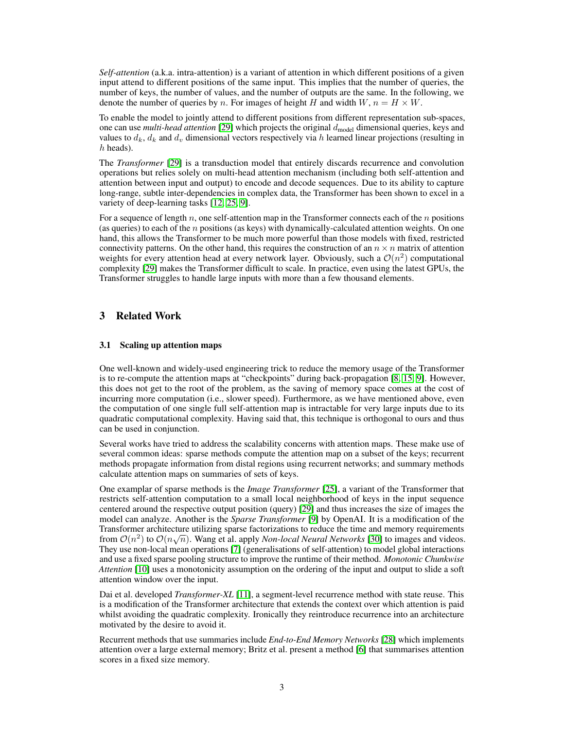*Self-attention* (a.k.a. intra-attention) is a variant of attention in which different positions of a given input attend to different positions of the same input. This implies that the number of queries, the number of keys, the number of values, and the number of outputs are the same. In the following, we denote the number of queries by n. For images of height H and width  $W, n = H \times W$ .

To enable the model to jointly attend to different positions from different representation sub-spaces, one can use *multi-head attention* [\[29\]](#page-11-0) which projects the original dmodel dimensional queries, keys and values to  $d_k$ ,  $d_k$  and  $d_v$  dimensional vectors respectively via h learned linear projections (resulting in  $h$  heads).

The *Transformer* [\[29\]](#page-11-0) is a transduction model that entirely discards recurrence and convolution operations but relies solely on multi-head attention mechanism (including both self-attention and attention between input and output) to encode and decode sequences. Due to its ability to capture long-range, subtle inter-dependencies in complex data, the Transformer has been shown to excel in a variety of deep-learning tasks [\[12,](#page-10-7) [25,](#page-11-5) [9\]](#page-10-3).

For a sequence of length  $n$ , one self-attention map in the Transformer connects each of the  $n$  positions (as queries) to each of the n positions (as keys) with dynamically-calculated attention weights. On one hand, this allows the Transformer to be much more powerful than those models with fixed, restricted connectivity patterns. On the other hand, this requires the construction of an  $n \times n$  matrix of attention weights for every attention head at every network layer. Obviously, such a  $\mathcal{O}(n^2)$  computational complexity [\[29\]](#page-11-0) makes the Transformer difficult to scale. In practice, even using the latest GPUs, the Transformer struggles to handle large inputs with more than a few thousand elements.

# <span id="page-2-0"></span>3 Related Work

#### 3.1 Scaling up attention maps

One well-known and widely-used engineering trick to reduce the memory usage of the Transformer is to re-compute the attention maps at "checkpoints" during back-propagation [\[8,](#page-10-8) [15,](#page-11-6) [9\]](#page-10-3). However, this does not get to the root of the problem, as the saving of memory space comes at the cost of incurring more computation (i.e., slower speed). Furthermore, as we have mentioned above, even the computation of one single full self-attention map is intractable for very large inputs due to its quadratic computational complexity. Having said that, this technique is orthogonal to ours and thus can be used in conjunction.

Several works have tried to address the scalability concerns with attention maps. These make use of several common ideas: sparse methods compute the attention map on a subset of the keys; recurrent methods propagate information from distal regions using recurrent networks; and summary methods calculate attention maps on summaries of sets of keys.

One examplar of sparse methods is the *Image Transformer* [\[25\]](#page-11-5), a variant of the Transformer that restricts self-attention computation to a small local neighborhood of keys in the input sequence centered around the respective output position (query) [\[29\]](#page-11-0) and thus increases the size of images the model can analyze. Another is the *Sparse Transformer* [\[9\]](#page-10-3) by OpenAI. It is a modification of the Transformer architecture utilizing sparse factorizations to reduce the time and memory requirements from  $\mathcal{O}(n^2)$  to  $\mathcal{O}(n\sqrt{n})$ . Wang et al. apply *Non-local Neural Networks* [\[30\]](#page-11-4) to images and videos. They use non-local mean operations [\[7\]](#page-10-6) (generalisations of self-attention) to model global interactions and use a fixed sparse pooling structure to improve the runtime of their method. *Monotonic Chunkwise Attention* [\[10\]](#page-10-2) uses a monotonicity assumption on the ordering of the input and output to slide a soft attention window over the input.

Dai et al. developed *Transformer-XL* [\[11\]](#page-10-0), a segment-level recurrence method with state reuse. This is a modification of the Transformer architecture that extends the context over which attention is paid whilst avoiding the quadratic complexity. Ironically they reintroduce recurrence into an architecture motivated by the desire to avoid it.

Recurrent methods that use summaries include *End-to-End Memory Networks* [\[28\]](#page-11-7) which implements attention over a large external memory; Britz et al. present a method [\[6\]](#page-10-9) that summarises attention scores in a fixed size memory.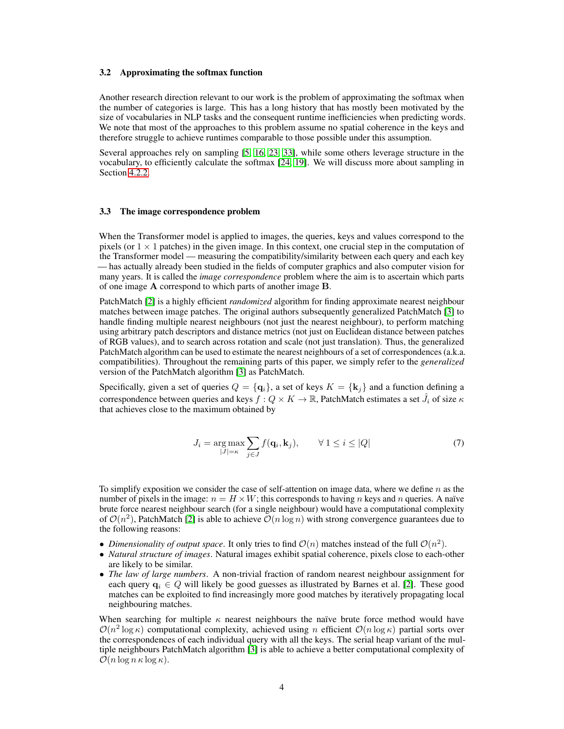#### 3.2 Approximating the softmax function

Another research direction relevant to our work is the problem of approximating the softmax when the number of categories is large. This has a long history that has mostly been motivated by the size of vocabularies in NLP tasks and the consequent runtime inefficiencies when predicting words. We note that most of the approaches to this problem assume no spatial coherence in the keys and therefore struggle to achieve runtimes comparable to those possible under this assumption.

Several approaches rely on sampling [\[5,](#page-10-10) [16,](#page-11-8) [23,](#page-11-9) [33\]](#page-11-10), while some others leverage structure in the vocabulary, to efficiently calculate the softmax [\[24,](#page-11-11) [19\]](#page-11-12). We will discuss more about sampling in Section [4.2.2.](#page-6-0)

## 3.3 The image correspondence problem

When the Transformer model is applied to images, the queries, keys and values correspond to the pixels (or  $1 \times 1$  patches) in the given image. In this context, one crucial step in the computation of the Transformer model — measuring the compatibility/similarity between each query and each key — has actually already been studied in the fields of computer graphics and also computer vision for many years. It is called the *image correspondence* problem where the aim is to ascertain which parts of one image A correspond to which parts of another image B.

PatchMatch [\[2\]](#page-10-4) is a highly efficient *randomized* algorithm for finding approximate nearest neighbour matches between image patches. The original authors subsequently generalized PatchMatch [\[3\]](#page-10-11) to handle finding multiple nearest neighbours (not just the nearest neighbour), to perform matching using arbitrary patch descriptors and distance metrics (not just on Euclidean distance between patches of RGB values), and to search across rotation and scale (not just translation). Thus, the generalized PatchMatch algorithm can be used to estimate the nearest neighbours of a set of correspondences (a.k.a. compatibilities). Throughout the remaining parts of this paper, we simply refer to the *generalized* version of the PatchMatch algorithm [\[3\]](#page-10-11) as PatchMatch.

Specifically, given a set of queries  $Q = {\mathbf{q}_i}$ , a set of keys  $K = {\mathbf{k}_j}$  and a function defining a correspondence between queries and keys  $f:Q\times K\to\mathbb{R}$ , PatchMatch estimates a set  $\hat{J}_i$  of size  $\kappa$ that achieves close to the maximum obtained by

$$
J_i = \underset{|J|=\kappa}{\arg \max} \sum_{j \in J} f(\mathbf{q}_i, \mathbf{k}_j), \qquad \forall \ 1 \le i \le |Q| \tag{7}
$$

To simplify exposition we consider the case of self-attention on image data, where we define  $n$  as the number of pixels in the image:  $n = H \times W$ ; this corresponds to having n keys and n queries. A naïve brute force nearest neighbour search (for a single neighbour) would have a computational complexity of  $\mathcal{O}(n^2)$ , PatchMatch [\[2\]](#page-10-4) is able to achieve  $\mathcal{O}(n \log n)$  with strong convergence guarantees due to the following reasons:

- *Dimensionality of output space*. It only tries to find  $\mathcal{O}(n)$  matches instead of the full  $\mathcal{O}(n^2)$ .
- *Natural structure of images*. Natural images exhibit spatial coherence, pixels close to each-other are likely to be similar.
- *The law of large numbers*. A non-trivial fraction of random nearest neighbour assignment for each query  $q_i \in Q$  will likely be good guesses as illustrated by Barnes et al. [\[2\]](#page-10-4). These good matches can be exploited to find increasingly more good matches by iteratively propagating local neighbouring matches.

When searching for multiple  $\kappa$  nearest neighbours the naïve brute force method would have  $\mathcal{O}(n^2 \log \kappa)$  computational complexity, achieved using n efficient  $\mathcal{O}(n \log \kappa)$  partial sorts over the correspondences of each individual query with all the keys. The serial heap variant of the multiple neighbours PatchMatch algorithm [\[3\]](#page-10-11) is able to achieve a better computational complexity of  $\mathcal{O}(n \log n \kappa \log \kappa)$ .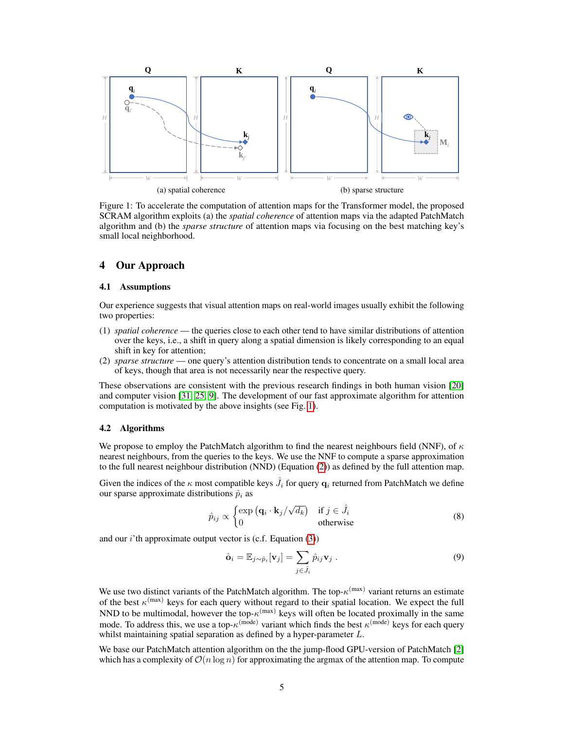<span id="page-4-0"></span>

Figure 1: To accelerate the computation of attention maps for the Transformer model, the proposed SCRAM algorithm exploits (a) the *spatial coherence* of attention maps via the adapted PatchMatch algorithm and (b) the *sparse structure* of attention maps via focusing on the best matching key's small local neighborhood.

## 4 Our Approach

#### 4.1 Assumptions

Our experience suggests that visual attention maps on real-world images usually exhibit the following two properties:

- (1) *spatial coherence* the queries close to each other tend to have similar distributions of attention over the keys, i.e., a shift in query along a spatial dimension is likely corresponding to an equal shift in key for attention;
- (2) *sparse structure* one query's attention distribution tends to concentrate on a small local area of keys, though that area is not necessarily near the respective query.

These observations are consistent with the previous research findings in both human vision [\[20\]](#page-11-13) and computer vision [\[31,](#page-11-3) [25,](#page-11-5) [9\]](#page-10-3). The development of our fast approximate algorithm for attention computation is motivated by the above insights (see Fig. [1\)](#page-4-0).

#### 4.2 Algorithms

We propose to employ the PatchMatch algorithm to find the nearest neighbours field (NNF), of  $\kappa$ nearest neighbours, from the queries to the keys. We use the NNF to compute a sparse approximation to the full nearest neighbour distribution (NND) (Equation [\(2\)](#page-1-0)) as defined by the full attention map.

Given the indices of the  $\kappa$  most compatible keys  $\hat{J}_i$  for query  $\mathbf{q}_i$  returned from PatchMatch we define our sparse approximate distributions  $\hat{p}_i$  as

<span id="page-4-1"></span>
$$
\hat{p}_{ij} \propto \begin{cases} \exp\left(\mathbf{q}_i \cdot \mathbf{k}_j / \sqrt{d_k}\right) & \text{if } j \in \hat{J}_i \\ 0 & \text{otherwise} \end{cases}
$$
\n(8)

and our  $i'$ th approximate output vector is (c.f. Equation  $(3)$ )

$$
\hat{\mathbf{o}}_i = \mathbb{E}_{j \sim \hat{p}_i}[\mathbf{v}_j] = \sum_{j \in \hat{J}_i} \hat{p}_{ij} \mathbf{v}_j .
$$
\n(9)

We use two distinct variants of the PatchMatch algorithm. The top- $\kappa^{(\text{max})}$  variant returns an estimate of the best  $\kappa^{(\text{max})}$  keys for each query without regard to their spatial location. We expect the full NND to be multimodal, however the top- $\kappa^{(max)}$  keys will often be located proximally in the same mode. To address this, we use a top- $\kappa^{\text{(mode)}}$  variant which finds the best  $\kappa^{\text{(mode)}}$  keys for each query whilst maintaining spatial separation as defined by a hyper-parameter L.

We base our PatchMatch attention algorithm on the the jump-flood GPU-version of PatchMatch [\[2\]](#page-10-4) which has a complexity of  $\mathcal{O}(n \log n)$  for approximating the argmax of the attention map. To compute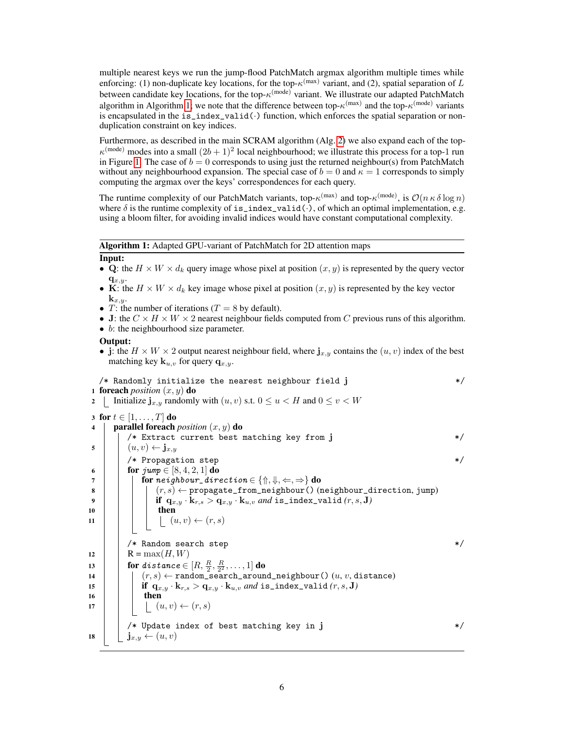multiple nearest keys we run the jump-flood PatchMatch argmax algorithm multiple times while enforcing: (1) non-duplicate key locations, for the top- $\kappa^{(\text{max})}$  variant, and (2), spatial separation of L between candidate key locations, for the top- $\kappa^{\text{(mode)}}$  variant. We illustrate our adapted PatchMatch algorithm in Algorithm [1;](#page-5-0) we note that the difference between top- $\kappa^{(max)}$  and the top- $\kappa^{(mode)}$  variants is encapsulated in the is\_index\_valid( $\cdot$ ) function, which enforces the spatial separation or nonduplication constraint on key indices.

Furthermore, as described in the main SCRAM algorithm (Alg. [2\)](#page-6-1) we also expand each of the top- $\kappa^{(\text{mode})}$  modes into a small  $(2b+1)^2$  local neighbourhood; we illustrate this process for a top-1 run in Figure [1.](#page-4-0) The case of  $b = 0$  corresponds to using just the returned neighbour(s) from PatchMatch without any neighbourhood expansion. The special case of  $b = 0$  and  $\kappa = 1$  corresponds to simply computing the argmax over the keys' correspondences for each query.

The runtime complexity of our PatchMatch variants, top- $\kappa^{(\text{max})}$  and top- $\kappa^{(\text{mode})}$ , is  $\mathcal{O}(n\kappa\delta\log n)$ where  $\delta$  is the runtime complexity of is\_index\_valid( $\cdot$ ), of which an optimal implementation, e.g. using a bloom filter, for avoiding invalid indices would have constant computational complexity.

#### Algorithm 1: Adapted GPU-variant of PatchMatch for 2D attention maps

```
Input:
```
- Q: the  $H \times W \times d_k$  query image whose pixel at position  $(x, y)$  is represented by the query vector  $\mathbf{q}_{x,y}$ .
- K: the  $H \times W \times d_k$  key image whose pixel at position  $(x, y)$  is represented by the key vector  $\mathbf{k}_{x,y}$ .
- T: the number of iterations ( $T = 8$  by default).
- J: the  $C \times H \times W \times 2$  nearest neighbour fields computed from C previous runs of this algorithm.
- *b*: the neighbourhood size parameter.

#### Output:

• j: the  $H \times W \times 2$  output nearest neighbour field, where  $j_{x,y}$  contains the  $(u, v)$  index of the best matching key  $\mathbf{k}_{u,v}$  for query  $\mathbf{q}_{x,y}$ .

|                         | /* Randomly initialize the nearest neighbour field j                                                                     | $\ast/$ |
|-------------------------|--------------------------------------------------------------------------------------------------------------------------|---------|
|                         | <b>1 foreach</b> <i>position</i> $(x, y)$ <b>do</b>                                                                      |         |
| $\mathbf{2}$            | Initialize $\mathbf{j}_{x,y}$ randomly with $(u, v)$ s.t. $0 \le u < H$ and $0 \le v < W$                                |         |
|                         | 3 for $t \in [1, \ldots, T]$ do                                                                                          |         |
| $\overline{4}$          | <b>parallel foreach</b> <i>position</i> $(x, y)$ <b>do</b>                                                               |         |
|                         | /* Extract current best matching key from j                                                                              | $\ast/$ |
| $\overline{\mathbf{5}}$ | $(u, v) \leftarrow \mathbf{j}_{x,y}$                                                                                     |         |
|                         | /* Propagation step                                                                                                      | $\ast/$ |
| 6                       | <b>for</b> $jump \in [8, 4, 2, 1]$ do                                                                                    |         |
| $\overline{7}$          | for neighbour_direction $\in \{\uparrow, \downarrow, \Leftarrow, \Rightarrow\}$ do                                       |         |
| 8                       | $(r, s) \leftarrow$ propagate_from_neighbour() (neighbour_direction, jump)                                               |         |
| 9                       | if $\mathbf{q}_{x,y}\cdot\mathbf{k}_{r,s} > \mathbf{q}_{x,y}\cdot\mathbf{k}_{u,v}$ and is_index_valid $(r,s,\mathbf{J})$ |         |
| 10                      | then                                                                                                                     |         |
| 11                      | $\begin{array}{ c c c }\hline \quad (u,v) \leftarrow (r,s) \\\hline \end{array}$                                         |         |
|                         |                                                                                                                          |         |
|                         | /* Random search step                                                                                                    | $\ast/$ |
| 12                      | $R = max(H, W)$                                                                                                          |         |
| 13                      | for distance $\in$ $[R, \frac{R}{2}, \frac{R}{2^2}, \dots, 1]$ do                                                        |         |
| 14                      | $(r, s) \leftarrow \texttt{random\_search\_around\_neighbor()}(u, v, \texttt{distance})$                                 |         |
| 15                      | if $\mathbf{q}_{x,y} \cdot \mathbf{k}_{r,s} > \mathbf{q}_{x,y} \cdot \mathbf{k}_{u,v}$ and is_index_valid $(r, s, J)$    |         |
| 16                      | then                                                                                                                     |         |
| 17                      | $(u, v) \leftarrow (r, s)$                                                                                               |         |
| 18                      | /* Update index of best matching key in j<br>$\mathbf{j}_{x,y} \leftarrow (u,v)$                                         | $\ast/$ |
|                         |                                                                                                                          |         |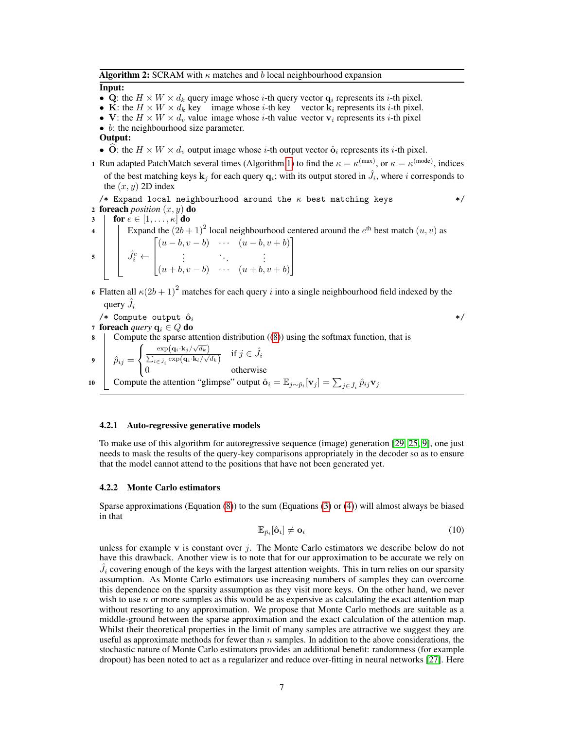# **Algorithm 2:** SCRAM with  $\kappa$  matches and b local neighbourhood expansion

#### <span id="page-6-1"></span>Input:

- Q: the  $H \times W \times d_k$  query image whose i-th query vector  $q_i$  represents its i-th pixel.
- K: the  $H \times W \times d_k$  key image whose *i*-th key vector  $\mathbf{k}_i$  represents its *i*-th pixel.
- V: the  $H \times W \times d_v$  value image whose *i*-th value vector  $v_i$  represents its *i*-th pixel
- *b*: the neighbourhood size parameter.

Output:

- O: the  $H \times W \times d_v$  output image whose i-th output vector  $\hat{\mathbf{o}}_i$  represents its i-th pixel.
- 1 Run adapted PatchMatch several times (Algorithm [1\)](#page-5-0) to find the  $\kappa = \kappa^{(\text{max})}$ , or  $\kappa = \kappa^{(\text{mode})}$ , indices of the best matching keys  $\mathbf{k}_j$  for each query  $\mathbf{q}_i$ ; with its output stored in  $\hat{J}_i$ , where i corresponds to the  $(x, y)$  2D index

/\* Expand local neighbourhood around the  $\kappa$  best matching keys  $*$ / 2 foreach *position*  $(x, y)$  do

<sup>3</sup> for e ∈ [1, . . . , κ] do <sup>4</sup> Expand the (2b + 1)<sup>2</sup> local neighbourhood centered around the e th best match (u, v) as <sup>5</sup> Jˆ<sup>e</sup> <sup>i</sup> ← (u − b, v − b) · · · (u − b, v + b) . . . . . . . . . (u + b, v − b) · · · (u + b, v + b) 

6 Flatten all  $\kappa(2b+1)^2$  matches for each query *i* into a single neighbourhood field indexed by the query  $\hat{J}_i$ 

/\* Compute output oˆ<sup>i</sup> \*/

7 **foreach** *query*  $q_i \in Q$  **do** 

8 Compute the sparse attention distribution  $((8))$  $((8))$  $((8))$  using the softmax function, that is

$$
\mathbf{9} \quad \hat{p}_{ij} = \begin{cases} \frac{\exp(\mathbf{q}_i \cdot \mathbf{k}_j/\sqrt{d_k})}{\sum_{l \in \hat{J}_i} \exp(\mathbf{q}_i \cdot \mathbf{k}_l/\sqrt{d_k})} & \text{if } j \in \hat{J}_i\\ 0 & \text{otherwise} \end{cases}
$$

10 Compute the attention "glimpse" output  $\hat{\mathbf{o}}_i = \mathbb{E}_{j \sim \hat{p}_i} [\mathbf{v}_j] = \sum_{j \in \hat{J}_i} \hat{p}_{ij} \mathbf{v}_j$ 

#### 4.2.1 Auto-regressive generative models

To make use of this algorithm for autoregressive sequence (image) generation [\[29,](#page-11-0) [25,](#page-11-5) [9\]](#page-10-3), one just needs to mask the results of the query-key comparisons appropriately in the decoder so as to ensure that the model cannot attend to the positions that have not been generated yet.

#### <span id="page-6-0"></span>4.2.2 Monte Carlo estimators

Sparse approximations (Equation [\(8\)](#page-4-1)) to the sum (Equations [\(3\)](#page-1-1) or [\(4\)](#page-1-2)) will almost always be biased in that

$$
\mathbb{E}_{\hat{p}_i}[\hat{\mathbf{o}}_i] \neq \mathbf{o}_i \tag{10}
$$

unless for example v is constant over  $j$ . The Monte Carlo estimators we describe below do not have this drawback. Another view is to note that for our approximation to be accurate we rely on  $\hat{J}_i$  covering enough of the keys with the largest attention weights. This in turn relies on our sparsity assumption. As Monte Carlo estimators use increasing numbers of samples they can overcome this dependence on the sparsity assumption as they visit more keys. On the other hand, we never wish to use  $n$  or more samples as this would be as expensive as calculating the exact attention map without resorting to any approximation. We propose that Monte Carlo methods are suitable as a middle-ground between the sparse approximation and the exact calculation of the attention map. Whilst their theoretical properties in the limit of many samples are attractive we suggest they are useful as approximate methods for fewer than  $n$  samples. In addition to the above considerations, the stochastic nature of Monte Carlo estimators provides an additional benefit: randomness (for example dropout) has been noted to act as a regularizer and reduce over-fitting in neural networks [\[27\]](#page-11-14). Here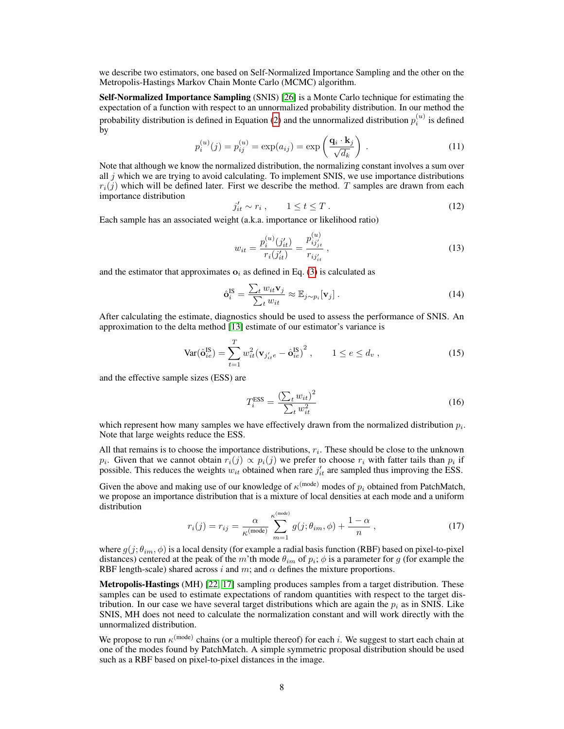we describe two estimators, one based on Self-Normalized Importance Sampling and the other on the Metropolis-Hastings Markov Chain Monte Carlo (MCMC) algorithm.

Self-Normalized Importance Sampling (SNIS) [\[26\]](#page-11-15) is a Monte Carlo technique for estimating the expectation of a function with respect to an unnormalized probability distribution. In our method the probability distribution is defined in Equation [\(2\)](#page-1-0) and the unnormalized distribution  $p_i^{(u)}$  is defined by

$$
p_i^{(u)}(j) = p_{ij}^{(u)} = \exp(a_{ij}) = \exp\left(\frac{\mathbf{q}_i \cdot \mathbf{k}_j}{\sqrt{d_k}}\right) \,. \tag{11}
$$

Note that although we know the normalized distribution, the normalizing constant involves a sum over all  $j$  which we are trying to avoid calculating. To implement SNIS, we use importance distributions  $r_i(j)$  which will be defined later. First we describe the method. T samples are drawn from each importance distribution

$$
j'_{it} \sim r_i , \qquad 1 \le t \le T . \tag{12}
$$

Each sample has an associated weight (a.k.a. importance or likelihood ratio)

$$
w_{it} = \frac{p_i^{(u)}(j'_{it})}{r_i(j'_{it})} = \frac{p_{ij'_{it}}^{(u)}}{r_{ij'_{it}}} ,
$$
\n(13)

and the estimator that approximates  $\mathbf{o}_i$  as defined in Eq. [\(3\)](#page-1-1) is calculated as

$$
\hat{\mathbf{o}}_i^{\text{IS}} = \frac{\sum_t w_{it} \mathbf{v}_j}{\sum_t w_{it}} \approx \mathbb{E}_{j \sim p_i}[\mathbf{v}_j]. \tag{14}
$$

After calculating the estimate, diagnostics should be used to assess the performance of SNIS. An approximation to the delta method [\[13\]](#page-10-12) estimate of our estimator's variance is

$$
\text{Var}(\hat{\mathbf{o}}_{ie}^{\text{IS}}) = \sum_{t=1}^{T} w_{it}^{2} (\mathbf{v}_{j_{it}'e} - \hat{\mathbf{o}}_{ie}^{\text{IS}})^{2} , \qquad 1 \le e \le d_{v} , \qquad (15)
$$

and the effective sample sizes (ESS) are

$$
T_i^{\text{ESS}} = \frac{\left(\sum_t w_{it}\right)^2}{\sum_t w_{it}^2} \tag{16}
$$

which represent how many samples we have effectively drawn from the normalized distribution  $p_i$ . Note that large weights reduce the ESS.

All that remains is to choose the importance distributions,  $r_i$ . These should be close to the unknown  $p_i$ . Given that we cannot obtain  $r_i(j) \propto p_i(j)$  we prefer to choose  $r_i$  with fatter tails than  $p_i$  if possible. This reduces the weights  $w_{it}$  obtained when rare  $j'_{it}$  are sampled thus improving the ESS.

Given the above and making use of our knowledge of  $\kappa^{(\text{mode})}$  modes of  $p_i$  obtained from PatchMatch, we propose an importance distribution that is a mixture of local densities at each mode and a uniform distribution

$$
r_i(j) = r_{ij} = \frac{\alpha}{\kappa^{(\text{mode})}} \sum_{m=1}^{\kappa^{(\text{mode})}} g(j; \theta_{im}, \phi) + \frac{1-\alpha}{n}, \qquad (17)
$$

where  $g(j; \theta_{im}, \phi)$  is a local density (for example a radial basis function (RBF) based on pixel-to-pixel distances) centered at the peak of the m'th mode  $\theta_{im}$  of  $p_i$ ;  $\phi$  is a parameter for g (for example the RBF length-scale) shared across i and m; and  $\alpha$  defines the mixture proportions.

Metropolis-Hastings (MH) [\[22,](#page-11-16) [17\]](#page-11-17) sampling produces samples from a target distribution. These samples can be used to estimate expectations of random quantities with respect to the target distribution. In our case we have several target distributions which are again the  $p_i$  as in SNIS. Like SNIS, MH does not need to calculate the normalization constant and will work directly with the unnormalized distribution.

We propose to run  $\kappa^{(\text{mode})}$  chains (or a multiple thereof) for each i. We suggest to start each chain at one of the modes found by PatchMatch. A simple symmetric proposal distribution should be used such as a RBF based on pixel-to-pixel distances in the image.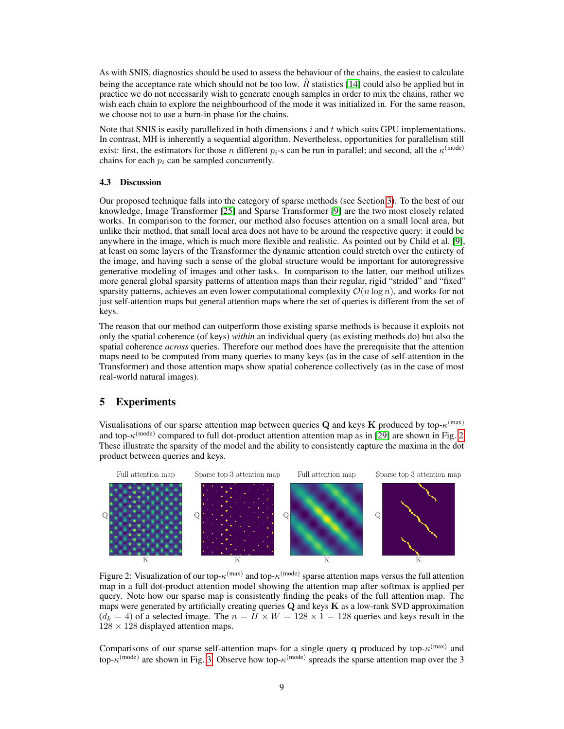As with SNIS, diagnostics should be used to assess the behaviour of the chains, the easiest to calculate being the acceptance rate which should not be too low.  $\hat{R}$  statistics [\[14\]](#page-10-13) could also be applied but in practice we do not necessarily wish to generate enough samples in order to mix the chains, rather we wish each chain to explore the neighbourhood of the mode it was initialized in. For the same reason, we choose not to use a burn-in phase for the chains.

Note that SNIS is easily parallelized in both dimensions  $i$  and  $t$  which suits GPU implementations. In contrast, MH is inherently a sequential algorithm. Nevertheless, opportunities for parallelism still exist: first, the estimators for those *n* different  $p_i$ -s can be run in parallel; and second, all the  $\kappa^{\text{(mode)}}$ chains for each  $p_i$  can be sampled concurrently.

## 4.3 Discussion

Our proposed technique falls into the category of sparse methods (see Section [3\)](#page-2-0). To the best of our knowledge, Image Transformer [\[25\]](#page-11-5) and Sparse Transformer [\[9\]](#page-10-3) are the two most closely related works. In comparison to the former, our method also focuses attention on a small local area, but unlike their method, that small local area does not have to be around the respective query: it could be anywhere in the image, which is much more flexible and realistic. As pointed out by Child et al. [\[9\]](#page-10-3), at least on some layers of the Transformer the dynamic attention could stretch over the entirety of the image, and having such a sense of the global structure would be important for autoregressive generative modeling of images and other tasks. In comparison to the latter, our method utilizes more general global sparsity patterns of attention maps than their regular, rigid "strided" and "fixed" sparsity patterns, achieves an even lower computational complexity  $\mathcal{O}(n \log n)$ , and works for not just self-attention maps but general attention maps where the set of queries is different from the set of keys.

The reason that our method can outperform those existing sparse methods is because it exploits not only the spatial coherence (of keys) *within* an individual query (as existing methods do) but also the spatial coherence *across* queries. Therefore our method does have the prerequisite that the attention maps need to be computed from many queries to many keys (as in the case of self-attention in the Transformer) and those attention maps show spatial coherence collectively (as in the case of most real-world natural images).

# 5 Experiments

Visualisations of our sparse attention map between queries Q and keys K produced by top- $\kappa^{\text{(max)}}$ and top- $\kappa^{(\text{mode})}$  compared to full dot-product attention attention map as in [\[29\]](#page-11-0) are shown in Fig. [2.](#page-8-0) These illustrate the sparsity of the model and the ability to consistently capture the maxima in the dot product between queries and keys.

<span id="page-8-0"></span>

Figure 2: Visualization of our top- $\kappa^{(\max)}$  and top- $\kappa^{(\text{mode})}$  sparse attention maps versus the full attention map in a full dot-product attention model showing the attention map after softmax is applied per query. Note how our sparse map is consistently finding the peaks of the full attention map. The maps were generated by artificially creating queries  $Q$  and keys  $K$  as a low-rank SVD approximation  $(d_k = 4)$  of a selected image. The  $n = H \times W = 128 \times 1 = 128$  queries and keys result in the  $128 \times 128$  displayed attention maps.

Comparisons of our sparse self-attention maps for a single query q produced by top- $\kappa^{(\text{max})}$  and top- $\kappa^{(mode)}$  are shown in Fig. [3.](#page-9-0) Observe how top- $\kappa^{(mode)}$  spreads the sparse attention map over the 3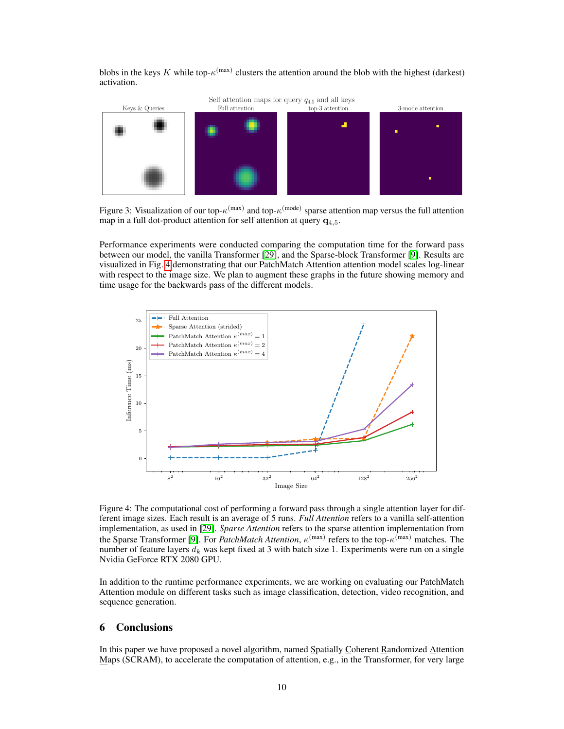blobs in the keys K while top- $\kappa^{(\text{max})}$  clusters the attention around the blob with the highest (darkest) activation.

<span id="page-9-0"></span>

Figure 3: Visualization of our top- $\kappa^{(\text{max})}$  and top- $\kappa^{(\text{mode})}$  sparse attention map versus the full attention map in a full dot-product attention for self attention at query  $q_{4.5}$ .

Performance experiments were conducted comparing the computation time for the forward pass between our model, the vanilla Transformer [\[29\]](#page-11-0), and the Sparse-block Transformer [\[9\]](#page-10-3). Results are visualized in Fig. [4](#page-9-1) demonstrating that our PatchMatch Attention attention model scales log-linear with respect to the image size. We plan to augment these graphs in the future showing memory and time usage for the backwards pass of the different models.

<span id="page-9-1"></span>

Figure 4: The computational cost of performing a forward pass through a single attention layer for different image sizes. Each result is an average of 5 runs. *Full Attention* refers to a vanilla self-attention implementation, as used in [\[29\]](#page-11-0). *Sparse Attention* refers to the sparse attention implementation from the Sparse Transformer [\[9\]](#page-10-3). For *PatchMatch Attention*,  $κ<sup>(max)</sup>$  refers to the top- $κ<sup>(max)</sup>$  matches. The number of feature layers  $d_k$  was kept fixed at 3 with batch size 1. Experiments were run on a single Nvidia GeForce RTX 2080 GPU.

In addition to the runtime performance experiments, we are working on evaluating our PatchMatch Attention module on different tasks such as image classification, detection, video recognition, and sequence generation.

# 6 Conclusions

In this paper we have proposed a novel algorithm, named Spatially Coherent Randomized Attention Maps (SCRAM), to accelerate the computation of attention, e.g., in the Transformer, for very large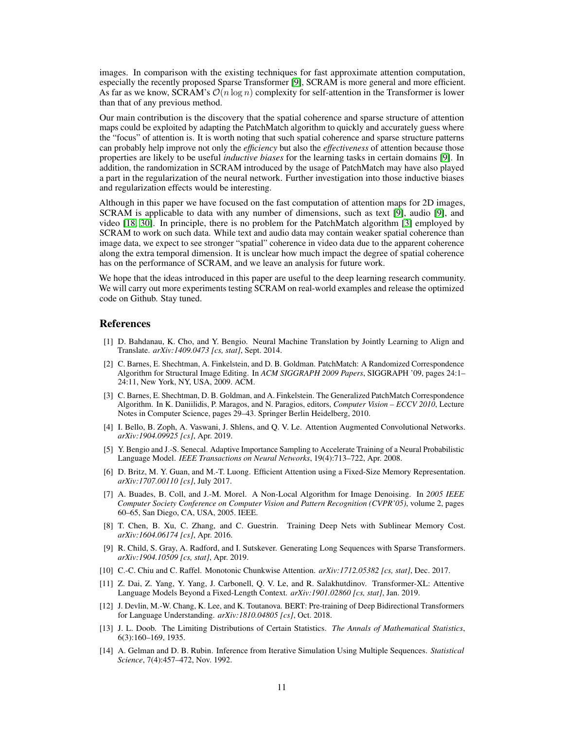images. In comparison with the existing techniques for fast approximate attention computation, especially the recently proposed Sparse Transformer [\[9\]](#page-10-3), SCRAM is more general and more efficient. As far as we know, SCRAM's  $\mathcal{O}(n \log n)$  complexity for self-attention in the Transformer is lower than that of any previous method.

Our main contribution is the discovery that the spatial coherence and sparse structure of attention maps could be exploited by adapting the PatchMatch algorithm to quickly and accurately guess where the "focus" of attention is. It is worth noting that such spatial coherence and sparse structure patterns can probably help improve not only the *efficiency* but also the *effectiveness* of attention because those properties are likely to be useful *inductive biases* for the learning tasks in certain domains [\[9\]](#page-10-3). In addition, the randomization in SCRAM introduced by the usage of PatchMatch may have also played a part in the regularization of the neural network. Further investigation into those inductive biases and regularization effects would be interesting.

Although in this paper we have focused on the fast computation of attention maps for 2D images, SCRAM is applicable to data with any number of dimensions, such as text [\[9\]](#page-10-3), audio [\[9\]](#page-10-3), and video [\[18,](#page-11-18) [30\]](#page-11-4). In principle, there is no problem for the PatchMatch algorithm [\[3\]](#page-10-11) employed by SCRAM to work on such data. While text and audio data may contain weaker spatial coherence than image data, we expect to see stronger "spatial" coherence in video data due to the apparent coherence along the extra temporal dimension. It is unclear how much impact the degree of spatial coherence has on the performance of SCRAM, and we leave an analysis for future work.

We hope that the ideas introduced in this paper are useful to the deep learning research community. We will carry out more experiments testing SCRAM on real-world examples and release the optimized code on Github. Stay tuned.

## References

- <span id="page-10-5"></span>[1] D. Bahdanau, K. Cho, and Y. Bengio. Neural Machine Translation by Jointly Learning to Align and Translate. *arXiv:1409.0473 [cs, stat]*, Sept. 2014.
- <span id="page-10-4"></span>[2] C. Barnes, E. Shechtman, A. Finkelstein, and D. B. Goldman. PatchMatch: A Randomized Correspondence Algorithm for Structural Image Editing. In *ACM SIGGRAPH 2009 Papers*, SIGGRAPH '09, pages 24:1– 24:11, New York, NY, USA, 2009. ACM.
- <span id="page-10-11"></span>[3] C. Barnes, E. Shechtman, D. B. Goldman, and A. Finkelstein. The Generalized PatchMatch Correspondence Algorithm. In K. Daniilidis, P. Maragos, and N. Paragios, editors, *Computer Vision – ECCV 2010*, Lecture Notes in Computer Science, pages 29–43. Springer Berlin Heidelberg, 2010.
- <span id="page-10-1"></span>[4] I. Bello, B. Zoph, A. Vaswani, J. Shlens, and Q. V. Le. Attention Augmented Convolutional Networks. *arXiv:1904.09925 [cs]*, Apr. 2019.
- <span id="page-10-10"></span>[5] Y. Bengio and J.-S. Senecal. Adaptive Importance Sampling to Accelerate Training of a Neural Probabilistic Language Model. *IEEE Transactions on Neural Networks*, 19(4):713–722, Apr. 2008.
- <span id="page-10-9"></span>[6] D. Britz, M. Y. Guan, and M.-T. Luong. Efficient Attention using a Fixed-Size Memory Representation. *arXiv:1707.00110 [cs]*, July 2017.
- <span id="page-10-6"></span>[7] A. Buades, B. Coll, and J.-M. Morel. A Non-Local Algorithm for Image Denoising. In *2005 IEEE Computer Society Conference on Computer Vision and Pattern Recognition (CVPR'05)*, volume 2, pages 60–65, San Diego, CA, USA, 2005. IEEE.
- <span id="page-10-8"></span>[8] T. Chen, B. Xu, C. Zhang, and C. Guestrin. Training Deep Nets with Sublinear Memory Cost. *arXiv:1604.06174 [cs]*, Apr. 2016.
- <span id="page-10-3"></span>[9] R. Child, S. Gray, A. Radford, and I. Sutskever. Generating Long Sequences with Sparse Transformers. *arXiv:1904.10509 [cs, stat]*, Apr. 2019.
- <span id="page-10-2"></span>[10] C.-C. Chiu and C. Raffel. Monotonic Chunkwise Attention. *arXiv:1712.05382 [cs, stat]*, Dec. 2017.
- <span id="page-10-0"></span>[11] Z. Dai, Z. Yang, Y. Yang, J. Carbonell, Q. V. Le, and R. Salakhutdinov. Transformer-XL: Attentive Language Models Beyond a Fixed-Length Context. *arXiv:1901.02860 [cs, stat]*, Jan. 2019.
- <span id="page-10-7"></span>[12] J. Devlin, M.-W. Chang, K. Lee, and K. Toutanova. BERT: Pre-training of Deep Bidirectional Transformers for Language Understanding. *arXiv:1810.04805 [cs]*, Oct. 2018.
- <span id="page-10-12"></span>[13] J. L. Doob. The Limiting Distributions of Certain Statistics. *The Annals of Mathematical Statistics*, 6(3):160–169, 1935.
- <span id="page-10-13"></span>[14] A. Gelman and D. B. Rubin. Inference from Iterative Simulation Using Multiple Sequences. *Statistical Science*, 7(4):457–472, Nov. 1992.